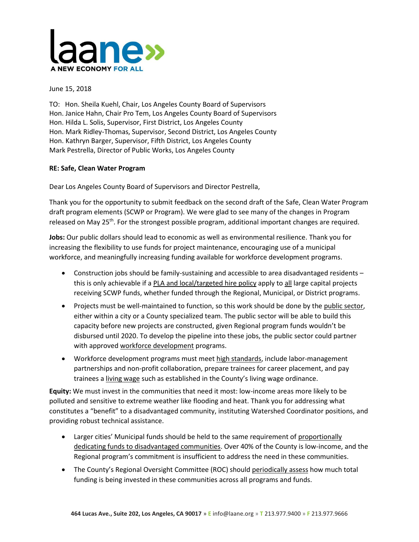

June 15, 2018

TO: Hon. Sheila Kuehl, Chair, Los Angeles County Board of Supervisors Hon. Janice Hahn, Chair Pro Tem, Los Angeles County Board of Supervisors Hon. Hilda L. Solis, Supervisor, First District, Los Angeles County Hon. Mark Ridley-Thomas, Supervisor, Second District, Los Angeles County Hon. Kathryn Barger, Supervisor, Fifth District, Los Angeles County Mark Pestrella, Director of Public Works, Los Angeles County

## **RE: Safe, Clean Water Program**

Dear Los Angeles County Board of Supervisors and Director Pestrella,

Thank you for the opportunity to submit feedback on the second draft of the Safe, Clean Water Program draft program elements (SCWP or Program). We were glad to see many of the changes in Program released on May 25<sup>th</sup>. For the strongest possible program, additional important changes are required.

**Jobs:** Our public dollars should lead to economic as well as environmental resilience. Thank you for increasing the flexibility to use funds for project maintenance, encouraging use of a municipal workforce, and meaningfully increasing funding available for workforce development programs.

- Construction jobs should be family-sustaining and accessible to area disadvantaged residents this is only achievable if a PLA and local/targeted hire policy apply to all large capital projects receiving SCWP funds, whether funded through the Regional, Municipal, or District programs.
- Projects must be well-maintained to function, so this work should be done by the public sector, either within a city or a County specialized team. The public sector will be able to build this capacity before new projects are constructed, given Regional program funds wouldn't be disbursed until 2020. To develop the pipeline into these jobs, the public sector could partner with approved workforce development programs.
- Workforce development programs must meet high standards, include labor-management partnerships and non-profit collaboration, prepare trainees for career placement, and pay trainees a living wage such as established in the County's living wage ordinance.

**Equity:** We must invest in the communities that need it most: low-income areas more likely to be polluted and sensitive to extreme weather like flooding and heat. Thank you for addressing what constitutes a "benefit" to a disadvantaged community, instituting Watershed Coordinator positions, and providing robust technical assistance.

- Larger cities' Municipal funds should be held to the same requirement of proportionally dedicating funds to disadvantaged communities. Over 40% of the County is low-income, and the Regional program's commitment is insufficient to address the need in these communities.
- The County's Regional Oversight Committee (ROC) should periodically assess how much total funding is being invested in these communities across all programs and funds.